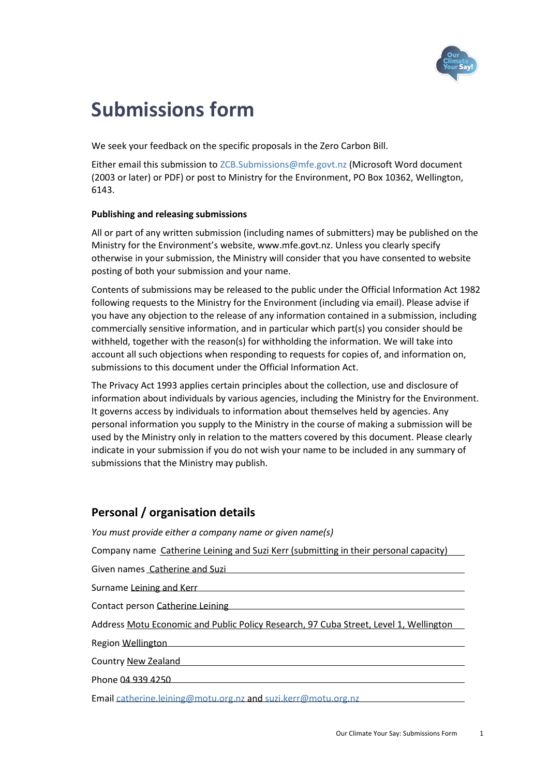

# **Submissions form**

We seek your feedback on the specific proposals in the Zero Carbon Bill.

Either email this submission t[o ZCB.Submissions@mfe.govt.nz](mailto:ZCB.Submissions@mfe.govt.nz) (Microsoft Word document (2003 or later) or PDF) or post to Ministry for the Environment, PO Box 10362, Wellington, 6143.

## **Publishing and releasing submissions**

All or part of any written submission (including names of submitters) may be published on the Ministry for the Environment's website, www.mfe.govt.nz. Unless you clearly specify otherwise in your submission, the Ministry will consider that you have consented to website posting of both your submission and your name.

Contents of submissions may be released to the public under the Official Information Act 1982 following requests to the Ministry for the Environment (including via email). Please advise if you have any objection to the release of any information contained in a submission, including commercially sensitive information, and in particular which part(s) you consider should be withheld, together with the reason(s) for withholding the information. We will take into account all such objections when responding to requests for copies of, and information on, submissions to this document under the Official Information Act.

The Privacy Act 1993 applies certain principles about the collection, use and disclosure of information about individuals by various agencies, including the Ministry for the Environment. It governs access by individuals to information about themselves held by agencies. Any personal information you supply to the Ministry in the course of making a submission will be used by the Ministry only in relation to the matters covered by this document. Please clearly indicate in your submission if you do not wish your name to be included in any summary of submissions that the Ministry may publish.

# **Personal / organisation details**

*You must provide either a company name or given name(s)*

Company name Catherine Leining and Suzi Kerr (submitting in their personal capacity)

Given names Catherine and Suzi

Surname Leining and Kerr

Contact person Catherine Leining

Address Motu Economic and Public Policy Research, 97 Cuba Street, Level 1, Wellington

Region Wellington

Country New Zealand

Phone 04 939 4250

Email [catherine.leining@motu.org.nz](mailto:catherine.leining@motu.org.nz) an[d suzi.kerr@motu.org.nz](mailto:suzi.kerr@motu.org.nz)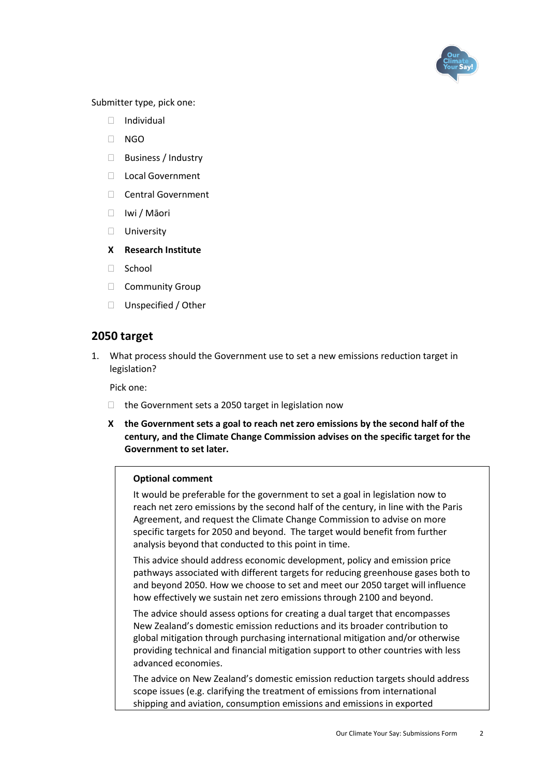

Submitter type, pick one:

- Individual
- $\Box$  NGO
- □ Business / Industry
- □ Local Government
- □ Central Government
- Iwi / Māori
- **University**
- **X Research Institute**
- □ School
- **Community Group**
- □ Unspecified / Other

# **2050 target**

1. What process should the Government use to set a new emissions reduction target in legislation?

Pick one:

- $\Box$  the Government sets a 2050 target in legislation now
- **X the Government sets a goal to reach net zero emissions by the second half of the century, and the Climate Change Commission advises on the specific target for the Government to set later.**

#### **Optional comment**

It would be preferable for the government to set a goal in legislation now to reach net zero emissions by the second half of the century, in line with the Paris Agreement, and request the Climate Change Commission to advise on more specific targets for 2050 and beyond. The target would benefit from further analysis beyond that conducted to this point in time.

This advice should address economic development, policy and emission price pathways associated with different targets for reducing greenhouse gases both to and beyond 2050. How we choose to set and meet our 2050 target will influence how effectively we sustain net zero emissions through 2100 and beyond.

The advice should assess options for creating a dual target that encompasses New Zealand's domestic emission reductions and its broader contribution to global mitigation through purchasing international mitigation and/or otherwise providing technical and financial mitigation support to other countries with less advanced economies.

The advice on New Zealand's domestic emission reduction targets should address scope issues (e.g. clarifying the treatment of emissions from international shipping and aviation, consumption emissions and emissions in exported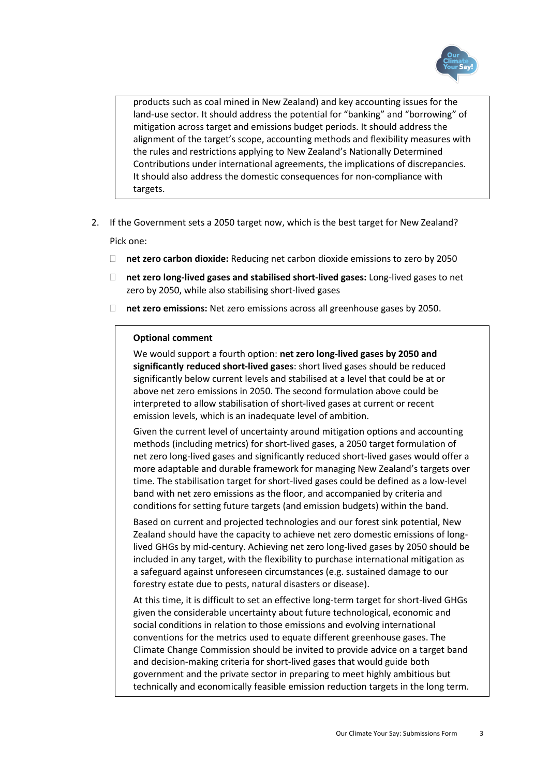

products such as coal mined in New Zealand) and key accounting issues for the land-use sector. It should address the potential for "banking" and "borrowing" of mitigation across target and emissions budget periods. It should address the alignment of the target's scope, accounting methods and flexibility measures with the rules and restrictions applying to New Zealand's Nationally Determined Contributions under international agreements, the implications of discrepancies. It should also address the domestic consequences for non-compliance with targets.

- 2. If the Government sets a 2050 target now, which is the best target for New Zealand? Pick one:
	- **net zero carbon dioxide:** Reducing net carbon dioxide emissions to zero by 2050
	- **net zero long-lived gases and stabilised short-lived gases:** Long-lived gases to net zero by 2050, while also stabilising short-lived gases
	- **net zero emissions:** Net zero emissions across all greenhouse gases by 2050.

#### **Optional comment**

We would support a fourth option: **net zero long-lived gases by 2050 and significantly reduced short-lived gases**: short lived gases should be reduced significantly below current levels and stabilised at a level that could be at or above net zero emissions in 2050. The second formulation above could be interpreted to allow stabilisation of short-lived gases at current or recent emission levels, which is an inadequate level of ambition.

Given the current level of uncertainty around mitigation options and accounting methods (including metrics) for short-lived gases, a 2050 target formulation of net zero long-lived gases and significantly reduced short-lived gases would offer a more adaptable and durable framework for managing New Zealand's targets over time. The stabilisation target for short-lived gases could be defined as a low-level band with net zero emissions as the floor, and accompanied by criteria and conditions for setting future targets (and emission budgets) within the band.

Based on current and projected technologies and our forest sink potential, New Zealand should have the capacity to achieve net zero domestic emissions of longlived GHGs by mid-century. Achieving net zero long-lived gases by 2050 should be included in any target, with the flexibility to purchase international mitigation as a safeguard against unforeseen circumstances (e.g. sustained damage to our forestry estate due to pests, natural disasters or disease).

At this time, it is difficult to set an effective long-term target for short-lived GHGs given the considerable uncertainty about future technological, economic and social conditions in relation to those emissions and evolving international conventions for the metrics used to equate different greenhouse gases. The Climate Change Commission should be invited to provide advice on a target band and decision-making criteria for short-lived gases that would guide both government and the private sector in preparing to meet highly ambitious but technically and economically feasible emission reduction targets in the long term.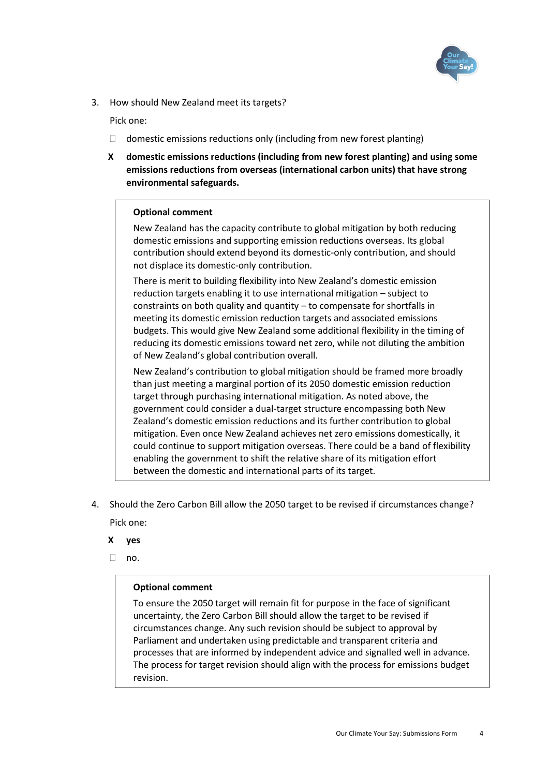

3. How should New Zealand meet its targets?

Pick one:

- $\Box$  domestic emissions reductions only (including from new forest planting)
- **X domestic emissions reductions (including from new forest planting) and using some emissions reductions from overseas (international carbon units) that have strong environmental safeguards.**

## **Optional comment**

New Zealand has the capacity contribute to global mitigation by both reducing domestic emissions and supporting emission reductions overseas. Its global contribution should extend beyond its domestic-only contribution, and should not displace its domestic-only contribution.

There is merit to building flexibility into New Zealand's domestic emission reduction targets enabling it to use international mitigation – subject to constraints on both quality and quantity – to compensate for shortfalls in meeting its domestic emission reduction targets and associated emissions budgets. This would give New Zealand some additional flexibility in the timing of reducing its domestic emissions toward net zero, while not diluting the ambition of New Zealand's global contribution overall.

New Zealand's contribution to global mitigation should be framed more broadly than just meeting a marginal portion of its 2050 domestic emission reduction target through purchasing international mitigation. As noted above, the government could consider a dual-target structure encompassing both New Zealand's domestic emission reductions and its further contribution to global mitigation. Even once New Zealand achieves net zero emissions domestically, it could continue to support mitigation overseas. There could be a band of flexibility enabling the government to shift the relative share of its mitigation effort between the domestic and international parts of its target.

- 4. Should the Zero Carbon Bill allow the 2050 target to be revised if circumstances change? Pick one:
	- **X yes**
	- $\Box$  no.

## **Optional comment**

To ensure the 2050 target will remain fit for purpose in the face of significant uncertainty, the Zero Carbon Bill should allow the target to be revised if circumstances change. Any such revision should be subject to approval by Parliament and undertaken using predictable and transparent criteria and processes that are informed by independent advice and signalled well in advance. The process for target revision should align with the process for emissions budget revision.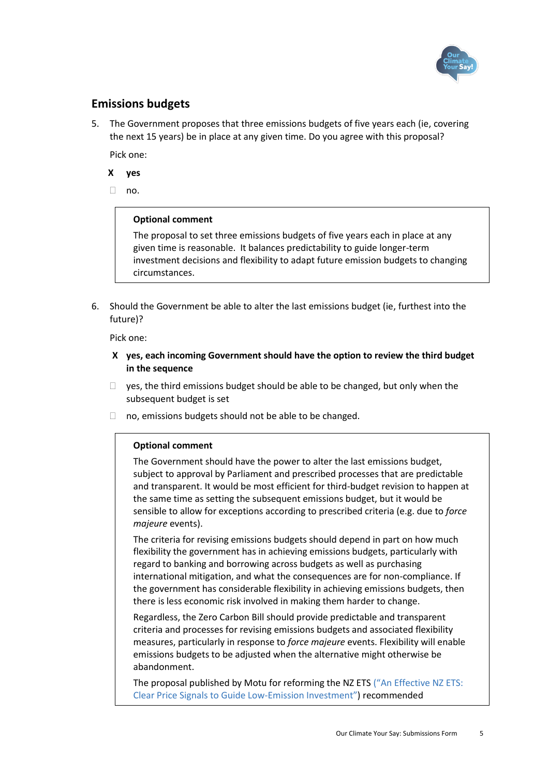

# **Emissions budgets**

5. The Government proposes that three emissions budgets of five years each (ie, covering the next 15 years) be in place at any given time. Do you agree with this proposal?

Pick one:

- **X yes**
- $\Box$  no.

#### **Optional comment**

The proposal to set three emissions budgets of five years each in place at any given time is reasonable. It balances predictability to guide longer-term investment decisions and flexibility to adapt future emission budgets to changing circumstances.

6. Should the Government be able to alter the last emissions budget (ie, furthest into the future)?

Pick one:

- **X yes, each incoming Government should have the option to review the third budget in the sequence**
- $\Box$  yes, the third emissions budget should be able to be changed, but only when the subsequent budget is set
- $\Box$  no, emissions budgets should not be able to be changed.

#### **Optional comment**

The Government should have the power to alter the last emissions budget, subject to approval by Parliament and prescribed processes that are predictable and transparent. It would be most efficient for third-budget revision to happen at the same time as setting the subsequent emissions budget, but it would be sensible to allow for exceptions according to prescribed criteria (e.g. due to *force majeure* events).

The criteria for revising emissions budgets should depend in part on how much flexibility the government has in achieving emissions budgets, particularly with regard to banking and borrowing across budgets as well as purchasing international mitigation, and what the consequences are for non-compliance. If the government has considerable flexibility in achieving emissions budgets, then there is less economic risk involved in making them harder to change.

Regardless, the Zero Carbon Bill should provide predictable and transparent criteria and processes for revising emissions budgets and associated flexibility measures, particularly in response to *force majeure* events. Flexibility will enable emissions budgets to be adjusted when the alternative might otherwise be abandonment.

The proposal published by Motu for reforming the NZ ETS ("[An Effective NZ ETS:](https://motu.nz/our-work/environment-and-resources/emission-mitigation/emissions-trading/an-effective-nz-ets-clear-price-signals-to-guide-low-emission-investment/)  [Clear Price Signals to Guide Low-Emission Investment](https://motu.nz/our-work/environment-and-resources/emission-mitigation/emissions-trading/an-effective-nz-ets-clear-price-signals-to-guide-low-emission-investment/)") recommended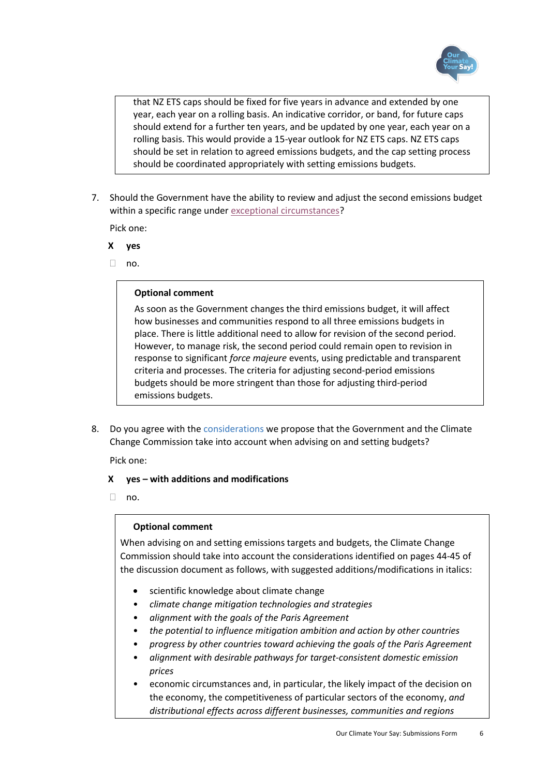

that NZ ETS caps should be fixed for five years in advance and extended by one year, each year on a rolling basis. An indicative corridor, or band, for future caps should extend for a further ten years, and be updated by one year, each year on a rolling basis. This would provide a 15-year outlook for NZ ETS caps. NZ ETS caps should be set in relation to agreed emissions budgets, and the cap setting process should be coordinated appropriately with setting emissions budgets.

7. Should the Government have the ability to review and adjust the second emissions budget within a specific range under exceptional circumstances?

Pick one:

- **X yes**
- $\Box$  no.

#### **Optional comment**

As soon as the Government changes the third emissions budget, it will affect how businesses and communities respond to all three emissions budgets in place. There is little additional need to allow for revision of the second period. However, to manage risk, the second period could remain open to revision in response to significant *force majeure* events, using predictable and transparent criteria and processes. The criteria for adjusting second-period emissions budgets should be more stringent than those for adjusting third-period emissions budgets.

8. Do you agree with the considerations we propose that the Government and the Climate Change Commission take into account when advising on and setting budgets?

Pick one:

#### **X yes – with additions and modifications**

 $\Box$  no.

#### **Optional comment**

When advising on and setting emissions targets and budgets, the Climate Change Commission should take into account the considerations identified on pages 44-45 of the discussion document as follows, with suggested additions/modifications in italics:

- scientific knowledge about climate change
- *climate change mitigation technologies and strategies*
- *alignment with the goals of the Paris Agreement*
- *the potential to influence mitigation ambition and action by other countries*
- *progress by other countries toward achieving the goals of the Paris Agreement*
- *alignment with desirable pathways for target-consistent domestic emission prices*
- economic circumstances and, in particular, the likely impact of the decision on the economy, the competitiveness of particular sectors of the economy, *and distributional effects across different businesses, communities and regions*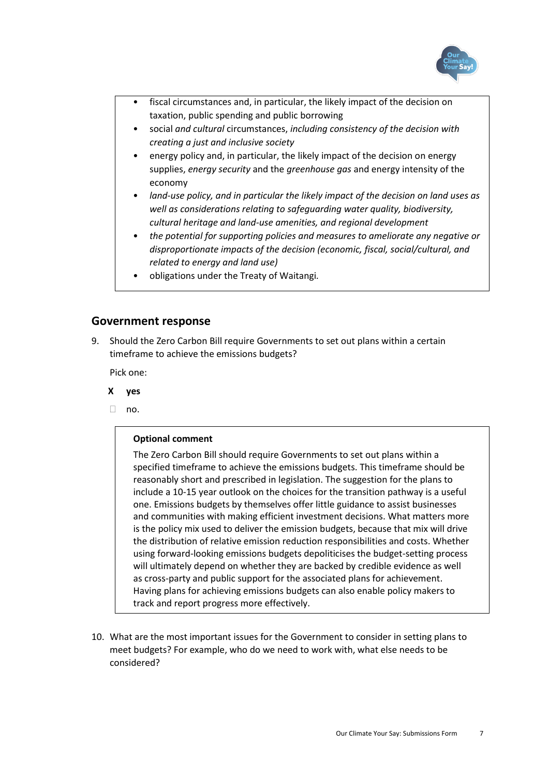

- fiscal circumstances and, in particular, the likely impact of the decision on taxation, public spending and public borrowing
- social *and cultural* circumstances, *including consistency of the decision with creating a just and inclusive society*
- energy policy and, in particular, the likely impact of the decision on energy supplies, *energy security* and the *greenhouse gas* and energy intensity of the economy
- *land-use policy, and in particular the likely impact of the decision on land uses as well as considerations relating to safeguarding water quality, biodiversity, cultural heritage and land-use amenities, and regional development*
- *the potential for supporting policies and measures to ameliorate any negative or disproportionate impacts of the decision (economic, fiscal, social/cultural, and related to energy and land use)*
- obligations under the Treaty of Waitangi*.*

## **Government response**

9. Should the Zero Carbon Bill require Governments to set out plans within a certain timeframe to achieve the emissions budgets?

Pick one:

- **X yes**
- $\Box$  no.

#### **Optional comment**

The Zero Carbon Bill should require Governments to set out plans within a specified timeframe to achieve the emissions budgets. This timeframe should be reasonably short and prescribed in legislation. The suggestion for the plans to include a 10-15 year outlook on the choices for the transition pathway is a useful one. Emissions budgets by themselves offer little guidance to assist businesses and communities with making efficient investment decisions. What matters more is the policy mix used to deliver the emission budgets, because that mix will drive the distribution of relative emission reduction responsibilities and costs. Whether using forward-looking emissions budgets depoliticises the budget-setting process will ultimately depend on whether they are backed by credible evidence as well as cross-party and public support for the associated plans for achievement. Having plans for achieving emissions budgets can also enable policy makers to track and report progress more effectively.

10. What are the most important issues for the Government to consider in setting plans to meet budgets? For example, who do we need to work with, what else needs to be considered?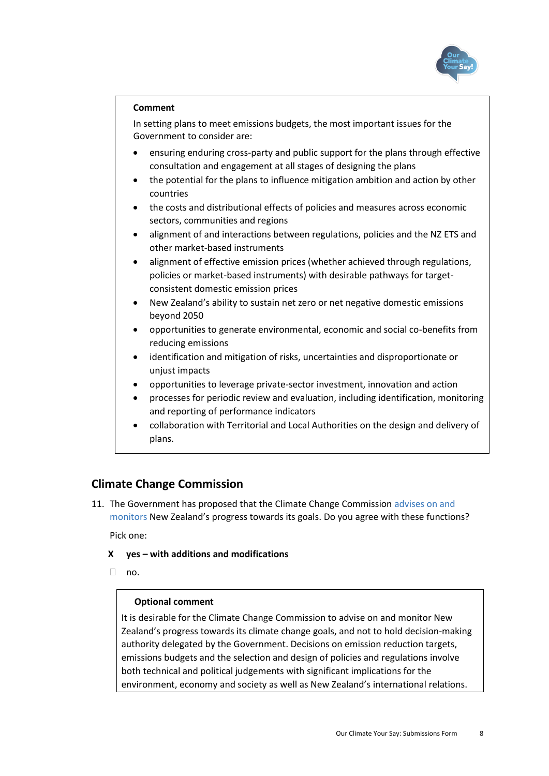

#### **Comment**

In setting plans to meet emissions budgets, the most important issues for the Government to consider are:

- ensuring enduring cross-party and public support for the plans through effective consultation and engagement at all stages of designing the plans
- the potential for the plans to influence mitigation ambition and action by other countries
- the costs and distributional effects of policies and measures across economic sectors, communities and regions
- alignment of and interactions between regulations, policies and the NZ ETS and other market-based instruments
- alignment of effective emission prices (whether achieved through regulations, policies or market-based instruments) with desirable pathways for targetconsistent domestic emission prices
- New Zealand's ability to sustain net zero or net negative domestic emissions beyond 2050
- opportunities to generate environmental, economic and social co-benefits from reducing emissions
- identification and mitigation of risks, uncertainties and disproportionate or unjust impacts
- opportunities to leverage private-sector investment, innovation and action
- processes for periodic review and evaluation, including identification, monitoring and reporting of performance indicators
- collaboration with Territorial and Local Authorities on the design and delivery of plans.

# **Climate Change Commission**

11. The Government has proposed that the Climate Change Commission advises on and monitors New Zealand's progress towards its goals. Do you agree with these functions?

Pick one:

- **X yes – with additions and modifications**
- $n_0$ .

# **Optional comment**

It is desirable for the Climate Change Commission to advise on and monitor New Zealand's progress towards its climate change goals, and not to hold decision-making authority delegated by the Government. Decisions on emission reduction targets, emissions budgets and the selection and design of policies and regulations involve both technical and political judgements with significant implications for the environment, economy and society as well as New Zealand's international relations.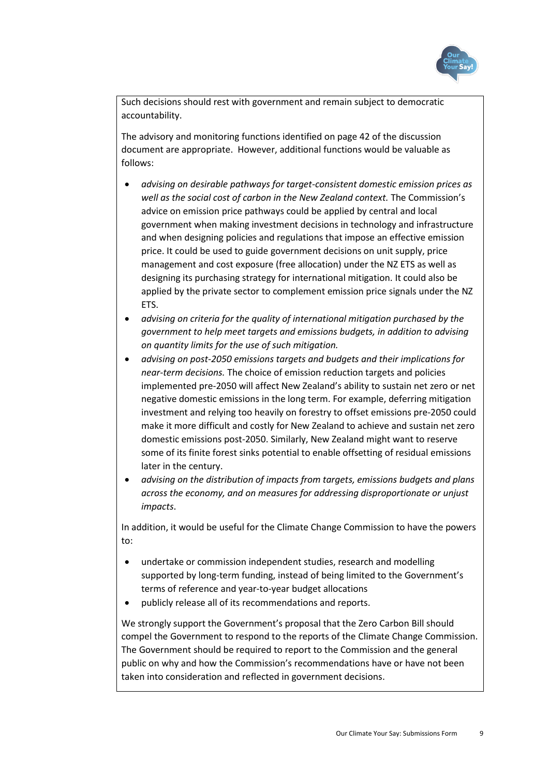

Such decisions should rest with government and remain subject to democratic accountability.

The advisory and monitoring functions identified on page 42 of the discussion document are appropriate. However, additional functions would be valuable as follows:

- *advising on desirable pathways for target-consistent domestic emission prices as well as the social cost of carbon in the New Zealand context.* The Commission's advice on emission price pathways could be applied by central and local government when making investment decisions in technology and infrastructure and when designing policies and regulations that impose an effective emission price. It could be used to guide government decisions on unit supply, price management and cost exposure (free allocation) under the NZ ETS as well as designing its purchasing strategy for international mitigation. It could also be applied by the private sector to complement emission price signals under the NZ ETS.
- *advising on criteria for the quality of international mitigation purchased by the government to help meet targets and emissions budgets, in addition to advising on quantity limits for the use of such mitigation.*
- *advising on post-2050 emissions targets and budgets and their implications for near-term decisions.* The choice of emission reduction targets and policies implemented pre-2050 will affect New Zealand's ability to sustain net zero or net negative domestic emissions in the long term. For example, deferring mitigation investment and relying too heavily on forestry to offset emissions pre-2050 could make it more difficult and costly for New Zealand to achieve and sustain net zero domestic emissions post-2050. Similarly, New Zealand might want to reserve some of its finite forest sinks potential to enable offsetting of residual emissions later in the century.
- *advising on the distribution of impacts from targets, emissions budgets and plans across the economy, and on measures for addressing disproportionate or unjust impacts*.

In addition, it would be useful for the Climate Change Commission to have the powers to:

- undertake or commission independent studies, research and modelling supported by long-term funding, instead of being limited to the Government's terms of reference and year-to-year budget allocations
- publicly release all of its recommendations and reports.

We strongly support the Government's proposal that the Zero Carbon Bill should compel the Government to respond to the reports of the Climate Change Commission. The Government should be required to report to the Commission and the general public on why and how the Commission's recommendations have or have not been taken into consideration and reflected in government decisions.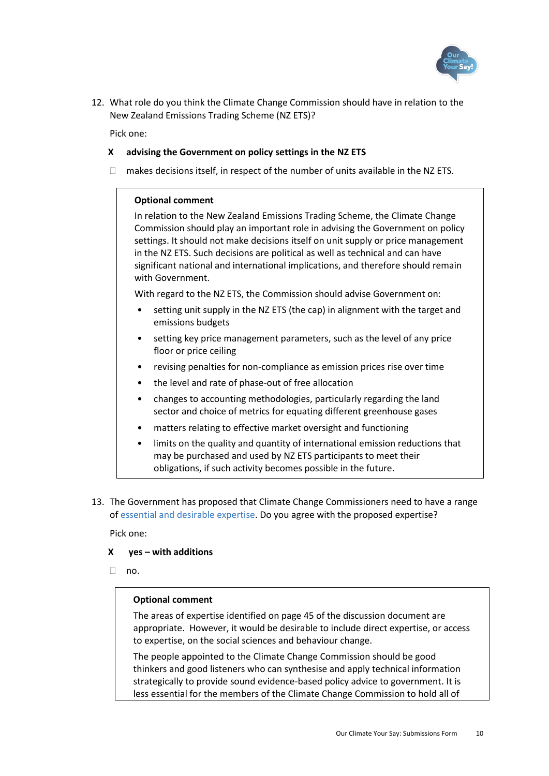

12. What role do you think the Climate Change Commission should have in relation to the New Zealand Emissions Trading Scheme (NZ ETS)?

Pick one:

#### **X advising the Government on policy settings in the NZ ETS**

 $\Box$  makes decisions itself, in respect of the number of units available in the NZ ETS.

## **Optional comment**

In relation to the New Zealand Emissions Trading Scheme, the Climate Change Commission should play an important role in advising the Government on policy settings. It should not make decisions itself on unit supply or price management in the NZ ETS. Such decisions are political as well as technical and can have significant national and international implications, and therefore should remain with Government.

With regard to the NZ ETS, the Commission should advise Government on:

- setting unit supply in the NZ ETS (the cap) in alignment with the target and emissions budgets
- setting key price management parameters, such as the level of any price floor or price ceiling
- revising penalties for non-compliance as emission prices rise over time
- the level and rate of phase-out of free allocation
- changes to accounting methodologies, particularly regarding the land sector and choice of metrics for equating different greenhouse gases
- matters relating to effective market oversight and functioning
- limits on the quality and quantity of international emission reductions that may be purchased and used by NZ ETS participants to meet their obligations, if such activity becomes possible in the future.
- 13. The Government has proposed that Climate Change Commissioners need to have a range of essential and desirable expertise. Do you agree with the proposed expertise?

Pick one:

#### **X yes – with additions**

 $\neg$  no.

#### **Optional comment**

The areas of expertise identified on page 45 of the discussion document are appropriate. However, it would be desirable to include direct expertise, or access to expertise, on the social sciences and behaviour change.

The people appointed to the Climate Change Commission should be good thinkers and good listeners who can synthesise and apply technical information strategically to provide sound evidence-based policy advice to government. It is less essential for the members of the Climate Change Commission to hold all of